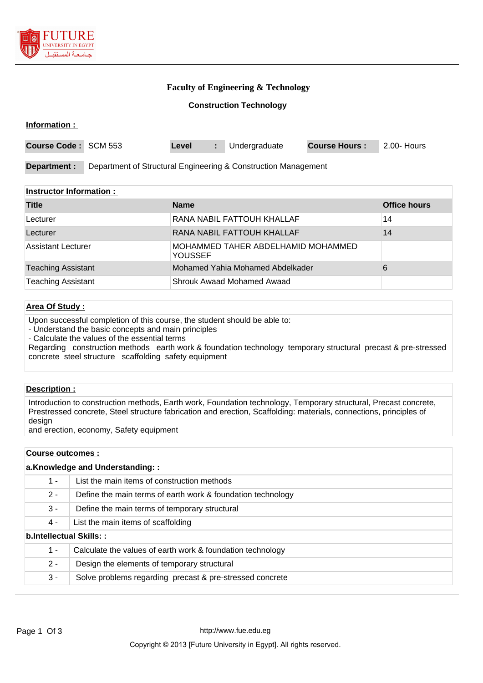

### **Faculty of Engineering & Technology**

#### **Construction Technology**

| Information:                                                                   |  |       |    |               |                      |             |
|--------------------------------------------------------------------------------|--|-------|----|---------------|----------------------|-------------|
| <b>Course Code: SCM 553</b>                                                    |  | Level | ÷. | Undergraduate | <b>Course Hours:</b> | 2.00- Hours |
| Department of Structural Engineering & Construction Management<br>Department : |  |       |    |               |                      |             |

#### **Instructor Information :**

| <b>Title</b>              | <b>Name</b>                                          | <b>Office hours</b> |
|---------------------------|------------------------------------------------------|---------------------|
| Lecturer                  | RANA NABIL FATTOUH KHALLAF                           | 14                  |
| Lecturer                  | RANA NABIL FATTOUH KHALLAF                           | 14                  |
| Assistant Lecturer        | MOHAMMED TAHER ABDELHAMID MOHAMMED<br><b>YOUSSEF</b> |                     |
| <b>Teaching Assistant</b> | Mohamed Yahia Mohamed Abdelkader                     | 6                   |
| <b>Teaching Assistant</b> | Shrouk Awaad Mohamed Awaad                           |                     |

## **Area Of Study :**

Upon successful completion of this course, the student should be able to:

- Understand the basic concepts and main principles

- Calculate the values of the essential terms

Regarding construction methods earth work & foundation technology temporary structural precast & pre-stressed concrete steel structure scaffolding safety equipment

# **Description :**

Introduction to construction methods, Earth work, Foundation technology, Temporary structural, Precast concrete, Prestressed concrete, Steel structure fabrication and erection, Scaffolding: materials, connections, principles of design

and erection, economy, Safety equipment

### **Course outcomes :**

| a.Knowledge and Understanding:: |                                                             |  |
|---------------------------------|-------------------------------------------------------------|--|
| $1 -$                           | List the main items of construction methods                 |  |
| $2 -$                           | Define the main terms of earth work & foundation technology |  |
| $3 -$                           | Define the main terms of temporary structural               |  |
| 4 -                             | List the main items of scaffolding                          |  |
| b.Intellectual Skills::         |                                                             |  |
| $1 -$                           | Calculate the values of earth work & foundation technology  |  |
| $2 -$                           | Design the elements of temporary structural                 |  |
| 3 -                             | Solve problems regarding precast & pre-stressed concrete    |  |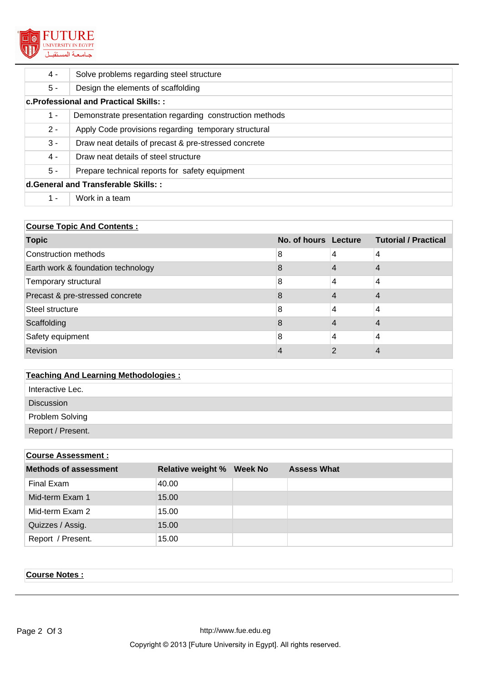

| 4 -                                    | Solve problems regarding steel structure                |  |  |
|----------------------------------------|---------------------------------------------------------|--|--|
| $5 -$                                  | Design the elements of scaffolding                      |  |  |
| c. Professional and Practical Skills:: |                                                         |  |  |
| $1 -$                                  | Demonstrate presentation regarding construction methods |  |  |
| $2 -$                                  | Apply Code provisions regarding temporary structural    |  |  |
| $3 -$                                  | Draw neat details of precast & pre-stressed concrete    |  |  |
| 4 -                                    | Draw neat details of steel structure                    |  |  |
| $5 -$                                  | Prepare technical reports for safety equipment          |  |  |
| d.General and Transferable Skills::    |                                                         |  |  |
| $1 -$                                  | Work in a team                                          |  |  |

# **Course Topic And Contents :**

| <b>Topic</b>                       |   |   | No. of hours Lecture Tutorial / Practical |
|------------------------------------|---|---|-------------------------------------------|
| Construction methods               | 8 | 4 | 4                                         |
| Earth work & foundation technology | 8 |   | 4                                         |
| Temporary structural               | 8 | 4 | 4                                         |
| Precast & pre-stressed concrete    | 8 |   |                                           |
| Steel structure                    | 8 |   | 4                                         |
| Scaffolding                        | 8 |   |                                           |
| Safety equipment                   | 8 | 4 | 4                                         |
| Revision                           |   |   |                                           |

# **Teaching And Learning Methodologies :**

- Interactive Lec.
- Discussion

Problem Solving

Report / Present.

# **Course Assessment :**

| <b>Methods of assessment</b> | <b>Relative weight % Week No</b> | <b>Assess What</b> |
|------------------------------|----------------------------------|--------------------|
| Final Exam                   | 40.00                            |                    |
| Mid-term Exam 1              | 15.00                            |                    |
| Mid-term Exam 2              | 15.00                            |                    |
| Quizzes / Assig.             | 15.00                            |                    |
| Report / Present.            | 15.00                            |                    |

# **Course Notes :**